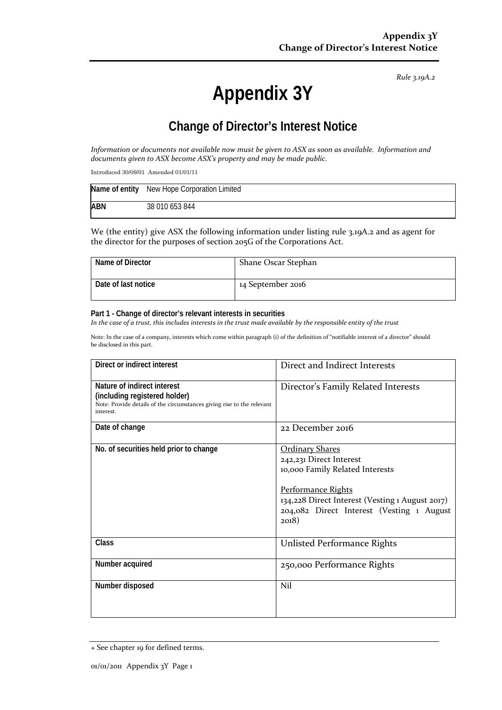*Rule 3.19A.2*

# **Appendix 3Y**

### **Change of Director's Interest Notice**

*Information or documents not available now must be given to ASX as soon as available. Information and documents given to ASX become ASX's property and may be made public.*

Introduced 30/09/01 Amended 01/01/11

|            | Name of entity New Hope Corporation Limited |
|------------|---------------------------------------------|
| <b>ABN</b> | 38 010 653 844                              |

We (the entity) give ASX the following information under listing rule 3.19A.2 and as agent for the director for the purposes of section 205G of the Corporations Act.

| Name of Director    | Shane Oscar Stephan |
|---------------------|---------------------|
| Date of last notice | 14 September 2016   |

#### **Part 1 - Change of director's relevant interests in securities**

*In the case of a trust, this includes interests in the trust made available by the responsible entity of the trust*

Note: In the case of a company, interests which come within paragraph (i) of the definition of "notifiable interest of a director" should be disclosed in this part.

| Direct or indirect interest                                                                                                                         | Direct and Indirect Interests                                                                                                                                                                                       |  |
|-----------------------------------------------------------------------------------------------------------------------------------------------------|---------------------------------------------------------------------------------------------------------------------------------------------------------------------------------------------------------------------|--|
| Nature of indirect interest<br>(including registered holder)<br>Note: Provide details of the circumstances giving rise to the relevant<br>interest. | Director's Family Related Interests                                                                                                                                                                                 |  |
| Date of change                                                                                                                                      | 22 December 2016                                                                                                                                                                                                    |  |
| No. of securities held prior to change                                                                                                              | <b>Ordinary Shares</b><br>242,231 Direct Interest<br>10,000 Family Related Interests<br>Performance Rights<br>134,228 Direct Interest (Vesting 1 August 2017)<br>204,082 Direct Interest (Vesting 1 August<br>2018) |  |
| <b>Class</b>                                                                                                                                        | <b>Unlisted Performance Rights</b>                                                                                                                                                                                  |  |
| Number acquired                                                                                                                                     | 250,000 Performance Rights                                                                                                                                                                                          |  |
| Number disposed                                                                                                                                     | Nil                                                                                                                                                                                                                 |  |

<sup>+</sup> See chapter 19 for defined terms.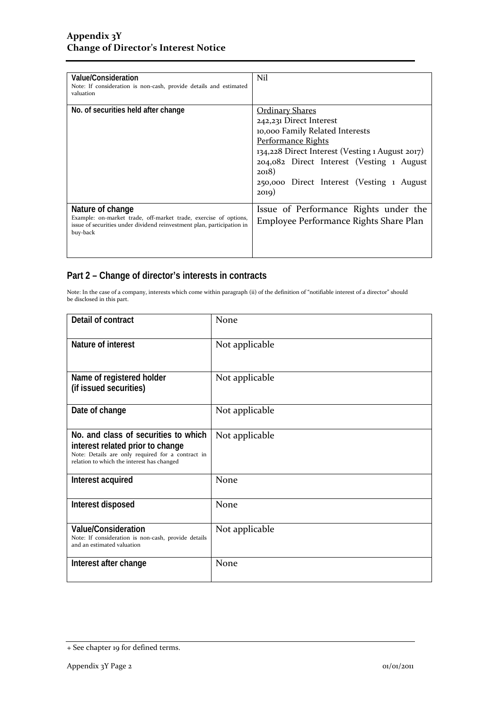| Value/Consideration<br>Note: If consideration is non-cash, provide details and estimated<br>valuation                                                                      | Nil                                                                                                                                                                                                                                                                        |
|----------------------------------------------------------------------------------------------------------------------------------------------------------------------------|----------------------------------------------------------------------------------------------------------------------------------------------------------------------------------------------------------------------------------------------------------------------------|
| No. of securities held after change                                                                                                                                        | <u> Ordinary Shares</u><br>242,231 Direct Interest<br>10,000 Family Related Interests<br>Performance Rights<br>134,228 Direct Interest (Vesting 1 August 2017)<br>204,082 Direct Interest (Vesting 1 August<br>2018)<br>250,000 Direct Interest (Vesting 1 August<br>2019) |
| Nature of change<br>Example: on-market trade, off-market trade, exercise of options,<br>issue of securities under dividend reinvestment plan, participation in<br>buy-back | Issue of Performance Rights under the<br>Employee Performance Rights Share Plan                                                                                                                                                                                            |

### **Part 2 – Change of director's interests in contracts**

Note: In the case of a company, interests which come within paragraph (ii) of the definition of "notifiable interest of a director" should be disclosed in this part.

| Detail of contract                                                                                                                                                          | None           |
|-----------------------------------------------------------------------------------------------------------------------------------------------------------------------------|----------------|
| Nature of interest                                                                                                                                                          | Not applicable |
| Name of registered holder<br>(if issued securities)                                                                                                                         | Not applicable |
| Date of change                                                                                                                                                              | Not applicable |
| No. and class of securities to which<br>interest related prior to change<br>Note: Details are only required for a contract in<br>relation to which the interest has changed | Not applicable |
| Interest acquired                                                                                                                                                           | None           |
| Interest disposed                                                                                                                                                           | None           |
| <b>Value/Consideration</b><br>Note: If consideration is non-cash, provide details<br>and an estimated valuation                                                             | Not applicable |
| Interest after change                                                                                                                                                       | None           |

<sup>+</sup> See chapter 19 for defined terms.